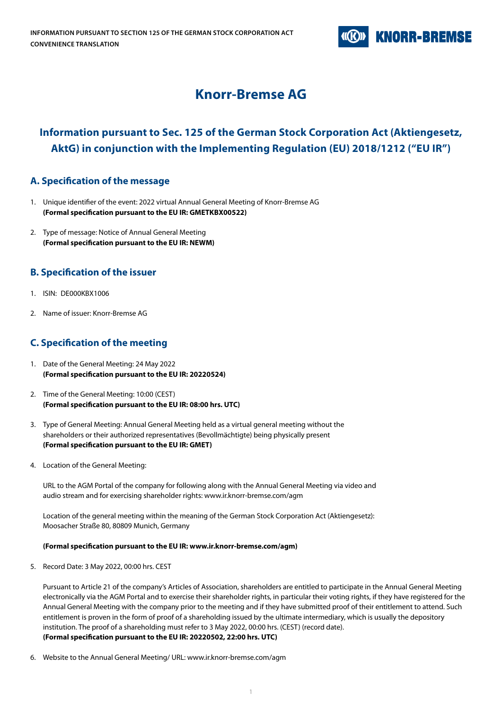

# **Knorr-Bremse AG**

# **Information pursuant to Sec. 125 of the German Stock Corporation Act (Aktiengesetz, AktG) in conjunction with the Implementing Regulation (EU) 2018/1212 ("EU IR")**

## **A. Specification of the message**

- 1. Unique identifier of the event: 2022 virtual Annual General Meeting of Knorr-Bremse AG **(Formal specification pursuant to the EU IR: GMETKBX00522)**
- 2. Type of message: Notice of Annual General Meeting **(Formal specification pursuant to the EU IR: NEWM)**

## **B. Specification of the issuer**

- 1. ISIN: DE000KBX1006
- 2. Name of issuer: Knorr-Bremse AG

# **C. Specification of the meeting**

- 1. Date of the General Meeting: 24 May 2022 **(Formal specification pursuant to the EU IR: 20220524)**
- 2. Time of the General Meeting: 10:00 (CEST) **(Formal specification pursuant to the EU IR: 08:00 hrs. UTC)**
- 3. Type of General Meeting: Annual General Meeting held as a virtual general meeting without the shareholders or their authorized representatives (Bevollmächtigte) being physically present **(Formal specification pursuant to the EU IR: GMET)**
- 4. Location of the General Meeting:

URL to the AGM Portal of the company for following along with the Annual General Meeting via video and audio stream and for exercising shareholder rights: www.ir.knorr-bremse.com/agm

 Location of the general meeting within the meaning of the German Stock Corporation Act (Aktiengesetz): Moosacher Straße 80, 80809 Munich, Germany

### **(Formal specification pursuant to the EU IR: www.ir.knorr-bremse.com/agm)**

5. Record Date: 3 May 2022, 00:00 hrs. CEST

Pursuant to Article 21 of the company's Articles of Association, shareholders are entitled to participate in the Annual General Meeting electronically via the AGM Portal and to exercise their shareholder rights, in particular their voting rights, if they have registered for the Annual General Meeting with the company prior to the meeting and if they have submitted proof of their entitlement to attend. Such entitlement is proven in the form of proof of a shareholding issued by the ultimate intermediary, which is usually the depository institution. The proof of a shareholding must refer to 3 May 2022, 00:00 hrs. (CEST) (record date). **(Formal specification pursuant to the EU IR: 20220502, 22:00 hrs. UTC)**

6. Website to the Annual General Meeting/ URL: www.ir.knorr-bremse.com/agm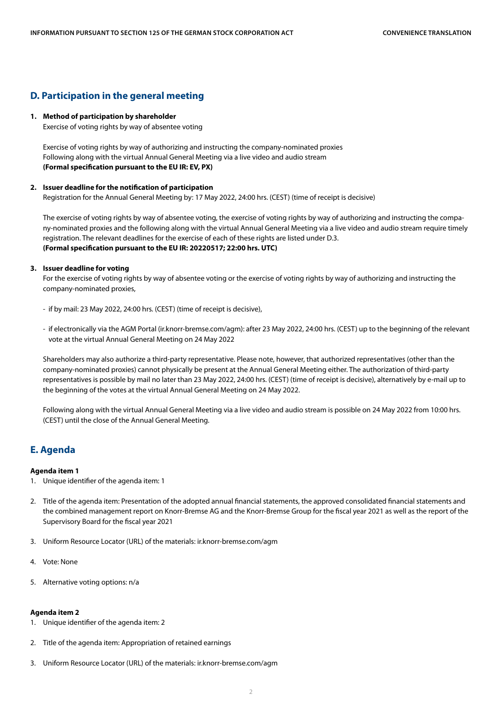### **D. Participation in the general meeting**

#### **1. Method of participation by shareholder**

Exercise of voting rights by way of absentee voting

Exercise of voting rights by way of authorizing and instructing the company-nominated proxies Following along with the virtual Annual General Meeting via a live video and audio stream **(Formal specification pursuant to the EU IR: EV, PX)**

#### **2. Issuer deadline for the notification of participation**

Registration for the Annual General Meeting by: 17 May 2022, 24:00 hrs. (CEST) (time of receipt is decisive)

 The exercise of voting rights by way of absentee voting, the exercise of voting rights by way of authorizing and instructing the company-nominated proxies and the following along with the virtual Annual General Meeting via a live video and audio stream require timely registration. The relevant deadlines for the exercise of each of these rights are listed under D.3. **(Formal specification pursuant to the EU IR: 20220517; 22:00 hrs. UTC)**

#### **3. Issuer deadline for voting**

 For the exercise of voting rights by way of absentee voting or the exercise of voting rights by way of authorizing and instructing the company-nominated proxies,

- if by mail: 23 May 2022, 24:00 hrs. (CEST) (time of receipt is decisive),
- if electronically via the AGM Portal (ir.knorr-bremse.com/agm): after 23 May 2022, 24:00 hrs. (CEST) up to the beginning of the relevant vote at the virtual Annual General Meeting on 24 May 2022

 Shareholders may also authorize a third-party representative. Please note, however, that authorized representatives (other than the company-nominated proxies) cannot physically be present at the Annual General Meeting either. The authorization of third-party representatives is possible by mail no later than 23 May 2022, 24:00 hrs. (CEST) (time of receipt is decisive), alternatively by e-mail up to the beginning of the votes at the virtual Annual General Meeting on 24 May 2022.

 Following along with the virtual Annual General Meeting via a live video and audio stream is possible on 24 May 2022 from 10:00 hrs. (CEST) until the close of the Annual General Meeting.

## **E. Agenda**

#### **Agenda item 1**

- 1. Unique identifier of the agenda item: 1
- 2. Title of the agenda item: Presentation of the adopted annual financial statements, the approved consolidated financial statements and the combined management report on Knorr-Bremse AG and the Knorr-Bremse Group for the fiscal year 2021 as well as the report of the Supervisory Board for the fiscal year 2021
- 3. Uniform Resource Locator (URL) of the materials: ir.knorr-bremse.com/agm
- 4. Vote: None
- 5. Alternative voting options: n/a

### **Agenda item 2**

- 1. Unique identifier of the agenda item: 2
- 2. Title of the agenda item: Appropriation of retained earnings
- 3. Uniform Resource Locator (URL) of the materials: ir.knorr-bremse.com/agm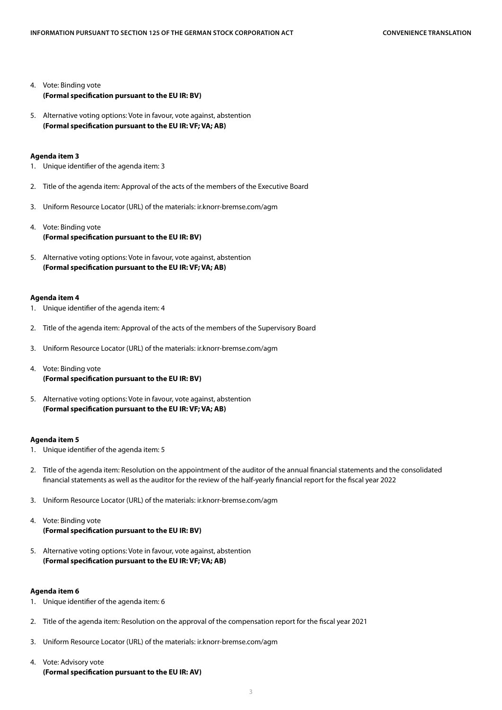- 4. Vote: Binding vote **(Formal specification pursuant to the EU IR: BV)**
- 5. Alternative voting options: Vote in favour, vote against, abstention **(Formal specification pursuant to the EU IR: VF; VA; AB)**

#### **Agenda item 3**

- 1. Unique identifier of the agenda item: 3
- 2. Title of the agenda item: Approval of the acts of the members of the Executive Board
- 3. Uniform Resource Locator (URL) of the materials: ir.knorr-bremse.com/agm
- 4. Vote: Binding vote **(Formal specification pursuant to the EU IR: BV)**
- 5. Alternative voting options: Vote in favour, vote against, abstention **(Formal specification pursuant to the EU IR: VF; VA; AB)**

#### **Agenda item 4**

- 1. Unique identifier of the agenda item: 4
- 2. Title of the agenda item: Approval of the acts of the members of the Supervisory Board
- 3. Uniform Resource Locator (URL) of the materials: ir.knorr-bremse.com/agm
- 4. Vote: Binding vote **(Formal specification pursuant to the EU IR: BV)**
- 5. Alternative voting options: Vote in favour, vote against, abstention **(Formal specification pursuant to the EU IR: VF; VA; AB)**

#### **Agenda item 5**

- 1. Unique identifier of the agenda item: 5
- 2. Title of the agenda item: Resolution on the appointment of the auditor of the annual financial statements and the consolidated financial statements as well as the auditor for the review of the half-yearly financial report for the fiscal year 2022
- 3. Uniform Resource Locator (URL) of the materials: ir.knorr-bremse.com/agm
- 4. Vote: Binding vote **(Formal specification pursuant to the EU IR: BV)**
- 5. Alternative voting options: Vote in favour, vote against, abstention **(Formal specification pursuant to the EU IR: VF; VA; AB)**

#### **Agenda item 6**

- 1. Unique identifier of the agenda item: 6
- 2. Title of the agenda item: Resolution on the approval of the compensation report for the fiscal year 2021
- 3. Uniform Resource Locator (URL) of the materials: ir.knorr-bremse.com/agm
- 4. Vote: Advisory vote **(Formal specification pursuant to the EU IR: AV)**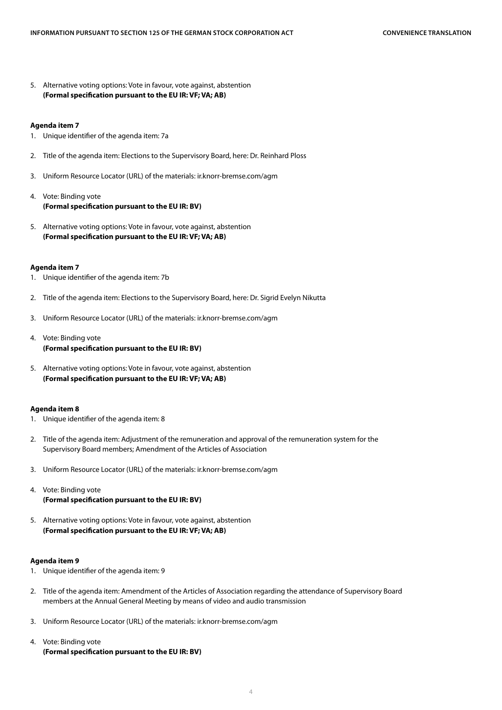5. Alternative voting options: Vote in favour, vote against, abstention **(Formal specification pursuant to the EU IR: VF; VA; AB)**

#### **Agenda item 7**

- 1. Unique identifier of the agenda item: 7a
- 2. Title of the agenda item: Elections to the Supervisory Board, here: Dr. Reinhard Ploss
- 3. Uniform Resource Locator (URL) of the materials: ir.knorr-bremse.com/agm
- 4. Vote: Binding vote **(Formal specification pursuant to the EU IR: BV)**
- 5. Alternative voting options: Vote in favour, vote against, abstention **(Formal specification pursuant to the EU IR: VF; VA; AB)**

#### **Agenda item 7**

- 1. Unique identifier of the agenda item: 7b
- 2. Title of the agenda item: Elections to the Supervisory Board, here: Dr. Sigrid Evelyn Nikutta
- 3. Uniform Resource Locator (URL) of the materials: ir.knorr-bremse.com/agm
- 4. Vote: Binding vote **(Formal specification pursuant to the EU IR: BV)**
- 5. Alternative voting options: Vote in favour, vote against, abstention **(Formal specification pursuant to the EU IR: VF; VA; AB)**

#### **Agenda item 8**

- 1. Unique identifier of the agenda item: 8
- 2. Title of the agenda item: Adjustment of the remuneration and approval of the remuneration system for the Supervisory Board members; Amendment of the Articles of Association
- 3. Uniform Resource Locator (URL) of the materials: ir.knorr-bremse.com/agm
- 4. Vote: Binding vote **(Formal specification pursuant to the EU IR: BV)**
- 5. Alternative voting options: Vote in favour, vote against, abstention **(Formal specification pursuant to the EU IR: VF; VA; AB)**

#### **Agenda item 9**

- 1. Unique identifier of the agenda item: 9
- 2. Title of the agenda item: Amendment of the Articles of Association regarding the attendance of Supervisory Board members at the Annual General Meeting by means of video and audio transmission
- 3. Uniform Resource Locator (URL) of the materials: ir.knorr-bremse.com/agm
- 4. Vote: Binding vote **(Formal specification pursuant to the EU IR: BV)**